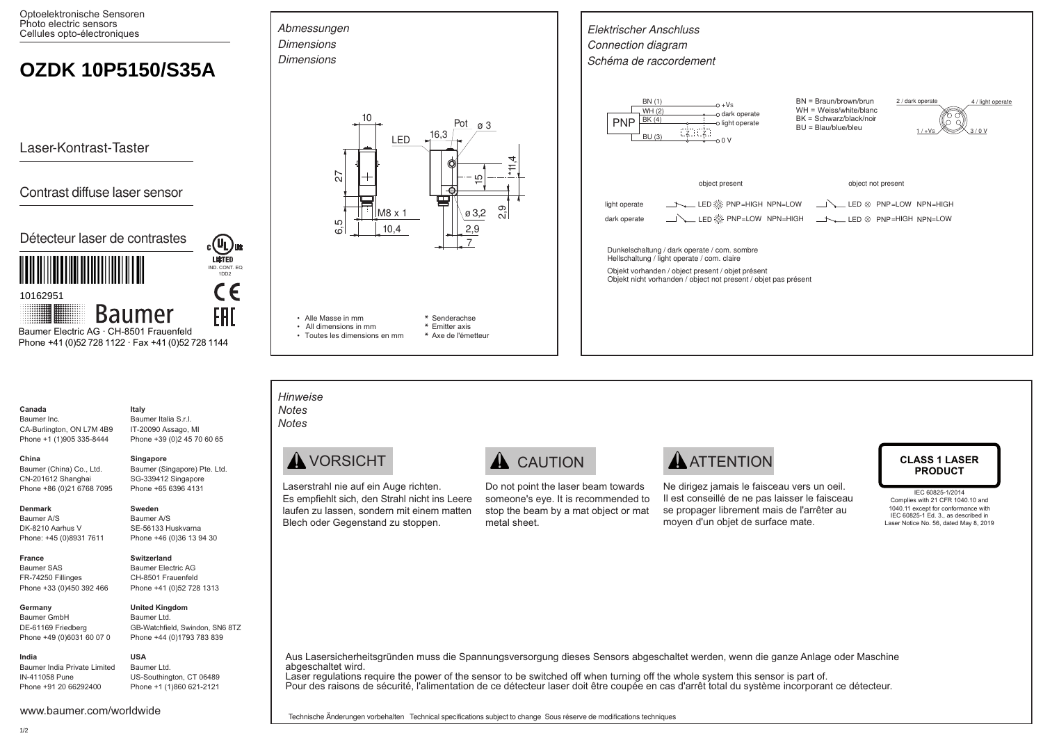Optoelektronische Sensoren Photo electric sensors Cellules opto-électroniques

# **OZDK 10P5150/S35A**

Laser-Kontrast-Taster

## Contrast diffuse laser sensor



 Phone +41 (0)52 728 1122 · Fax +41 (0)52 728 1144 Baumer Electric AG · CH-8501 Frauenfeld

### **Canada** Baumer Inc.

CA-Burlington, ON L7M 4B9 Phone +1 (1)905 335-8444 Baumer Italia S.r.l.

# Baumer (China) Co., Ltd.

SG-339412 Singapore Phone +65 6396 4131

### **Denmark**

**China** 

Baumer A/S DK-8210 Aarhus V Phone: +45 (0)8931 7611

CN-201612 Shanghai Phone +86 (0)21 6768 7095

**France** Baumer SAS FR-74250 Fillinges Phone +33 (0)450 392 466

### **Germany**

Baumer GmbH DE-61169 Friedberg Phone +49 (0)6031 60 07 0

Baumer India Private Limited IN-411058 Pune Phone +91 20 66292400

## IT-20090 Assago, MI Phone +39 (0)2 45 70 60 65 **Singapore**

**Italy**

Baumer (Singapore) Pte. Ltd.

## **Sweden**

Baumer A/S SE-56133 Huskvarna Phone +46 (0)36 13 94 30

## **Switzerland**

Baumer Electric AG CH-8501 Frauenfeld Phone +41 (0)52 728 1313

Baumer Ltd. GB-Watchfield, Swindon, SN6 8TZ Phone +44 (0)1793 783 839

Baumer Ltd. US-Southington, CT 06489 Phone +1 (1)860 621-2121

**USA**

**United Kingdom**





**\*** Axe de l'émetteur



*Hinweise Notes Notes*

• Toutes les dimensions en mm

Laserstrahl nie auf ein Auge richten. Es empfiehlt sich, den Strahl nicht ins Leere laufen zu lassen, sondern mit einem matten Blech oder Gegenstand zu stoppen.

Do not point the laser beam towards someone's eye. It is recommended to stop the beam by a mat object or mat metal sheet.

# **AVORSICHT A** CAUTION **A** TTENTION CLASS 1 LASER

Ne dirigez jamais le faisceau vers un oeil. Il est conseillé de ne pas laisser le faisceau se propager librement mais de l'arrêter au moyen d'un objet de surface mate.

# **PRODUCT**

IEC 60825-1/2014 Complies with 21 CFR 1040.10 and 1040.11 except for conformance with IEC 60825-1 Ed. 3., as described in Laser Notice No. 56, dated May 8, 2019

### Aus Lasersicherheitsgründen muss die Spannungsversorgung dieses Sensors abgeschaltet werden, wenn die ganze Anlage oder Maschine abgeschaltet wird.

Laser regulations require the power of the sensor to be switched off when turning off the whole system this sensor is part of. Pour des raisons de sécurité, l'alimentation de ce détecteur laser doit être coupée en cas d'arrêt total du système incorporant ce détecteur.

**India**